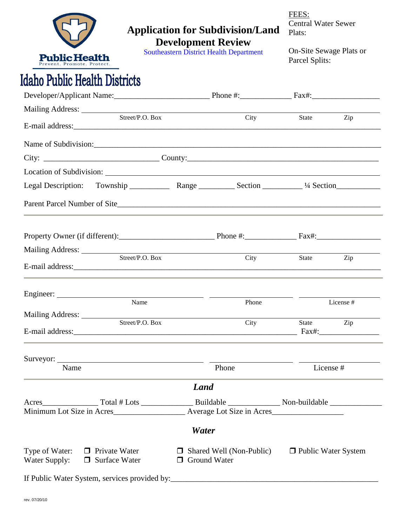

## **Application for Subdivision/Land**

FEES: Central Water Sewer Plats:

**Development Review**

Southeastern District Health Department

On-Site Sewage Plats or Parcel Splits:

## **Idaho Public Health Districts**

| Mailing Address: ___________                                                                                   |                       |                                 |                       |           |  |
|----------------------------------------------------------------------------------------------------------------|-----------------------|---------------------------------|-----------------------|-----------|--|
| Street/P.O. Box                                                                                                |                       | City                            | State                 | Zip       |  |
| Name of Subdivision:                                                                                           |                       |                                 |                       |           |  |
|                                                                                                                |                       |                                 |                       |           |  |
| Location of Subdivision: Manual According to the Subdivision:                                                  |                       |                                 |                       |           |  |
|                                                                                                                |                       |                                 |                       |           |  |
|                                                                                                                |                       |                                 |                       |           |  |
| Property Owner (if different): Phone #: Phone #: Fax#:                                                         |                       |                                 |                       |           |  |
|                                                                                                                |                       |                                 |                       |           |  |
| Street/P.O. Box                                                                                                |                       | City                            | State                 | Zip       |  |
|                                                                                                                |                       |                                 |                       |           |  |
| Name                                                                                                           |                       | Phone                           |                       | License # |  |
| Street/P.O. Box                                                                                                |                       | City                            | State                 | Zip       |  |
|                                                                                                                |                       |                                 |                       |           |  |
| Name                                                                                                           |                       | Phone                           |                       | License # |  |
|                                                                                                                | Land                  |                                 |                       |           |  |
| Minimum Lot Size in Acres________________________ Average Lot Size in Acres___________________________________ |                       |                                 |                       |           |  |
|                                                                                                                | Water                 |                                 |                       |           |  |
| Type of Water: $\Box$ Private Water<br>Water Supply: $\Box$ Surface Water                                      | <b>O</b> Ground Water | $\Box$ Shared Well (Non-Public) | □ Public Water System |           |  |
| If Public Water System, services provided by: __________________________________                               |                       |                                 |                       |           |  |